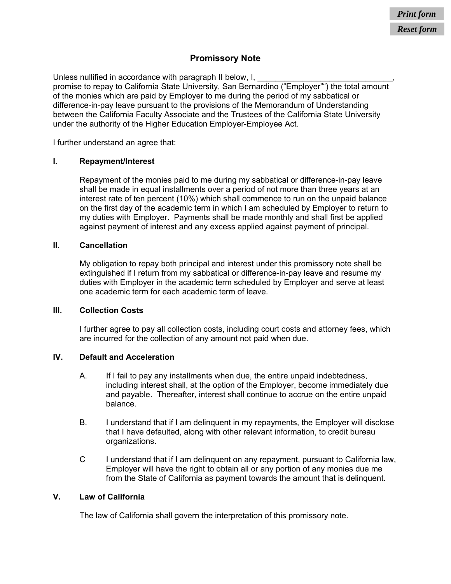# **Promissory Note**

Unless nullified in accordance with paragraph II below, I, promise to repay to California State University, San Bernardino ("Employer"") the total amount of the monies which are paid by Employer to me during the period of my sabbatical or difference-in-pay leave pursuant to the provisions of the Memorandum of Understanding between the California Faculty Associate and the Trustees of the California State University under the authority of the Higher Education Employer-Employee Act.

I further understand an agree that:

# **I. Repayment/Interest**

Repayment of the monies paid to me during my sabbatical or difference-in-pay leave shall be made in equal installments over a period of not more than three years at an interest rate of ten percent (10%) which shall commence to run on the unpaid balance on the first day of the academic term in which I am scheduled by Employer to return to my duties with Employer. Payments shall be made monthly and shall first be applied against payment of interest and any excess applied against payment of principal.

# **II. Cancellation**

My obligation to repay both principal and interest under this promissory note shall be extinguished if I return from my sabbatical or difference-in-pay leave and resume my duties with Employer in the academic term scheduled by Employer and serve at least one academic term for each academic term of leave.

### **III. Collection Costs**

I further agree to pay all collection costs, including court costs and attorney fees, which are incurred for the collection of any amount not paid when due.

# **IV. Default and Acceleration**

- A. If I fail to pay any installments when due, the entire unpaid indebtedness, including interest shall, at the option of the Employer, become immediately due and payable. Thereafter, interest shall continue to accrue on the entire unpaid balance.
- B. I understand that if I am delinquent in my repayments, the Employer will disclose that I have defaulted, along with other relevant information, to credit bureau organizations.
- C I understand that if I am delinquent on any repayment, pursuant to California law, Employer will have the right to obtain all or any portion of any monies due me from the State of California as payment towards the amount that is delinquent.

# **V. Law of California**

The law of California shall govern the interpretation of this promissory note.